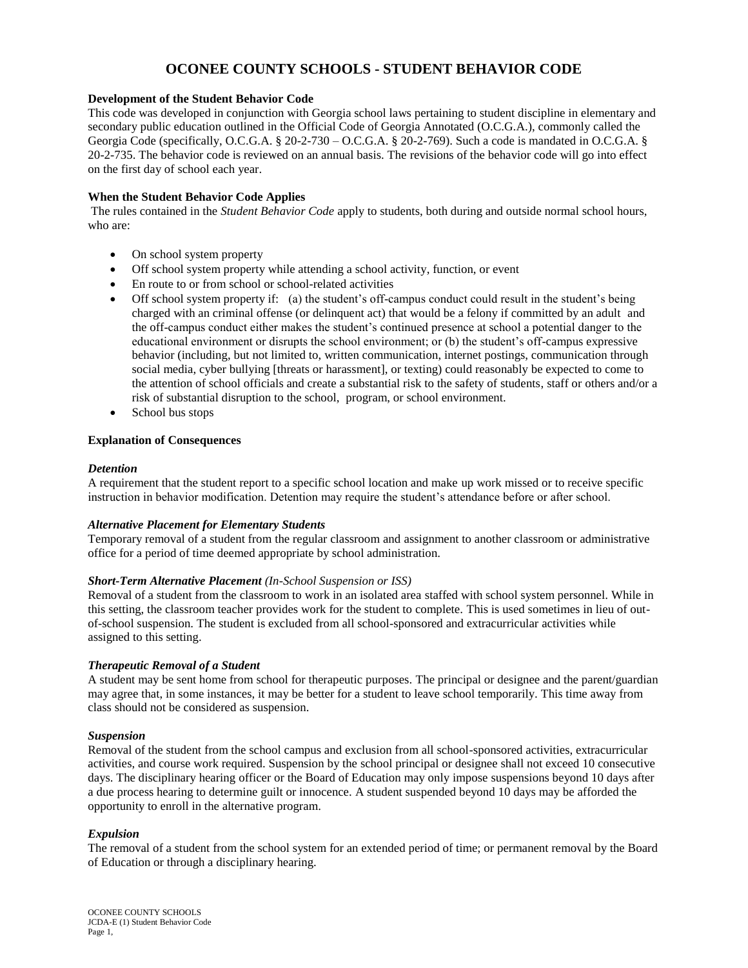# **OCONEE COUNTY SCHOOLS - STUDENT BEHAVIOR CODE**

## **Development of the Student Behavior Code**

This code was developed in conjunction with Georgia school laws pertaining to student discipline in elementary and secondary public education outlined in the Official Code of Georgia Annotated (O.C.G.A.), commonly called the Georgia Code (specifically, O.C.G.A. § 20-2-730 – O.C.G.A. § 20-2-769). Such a code is mandated in O.C.G.A. § 20-2-735. The behavior code is reviewed on an annual basis. The revisions of the behavior code will go into effect on the first day of school each year.

## **When the Student Behavior Code Applies**

The rules contained in the *Student Behavior Code* apply to students, both during and outside normal school hours, who are:

- On school system property
- Off school system property while attending a school activity, function, or event
- En route to or from school or school-related activities
- Off school system property if: (a) the student's off-campus conduct could result in the student's being charged with an criminal offense (or delinquent act) that would be a felony if committed by an adult and the off-campus conduct either makes the student's continued presence at school a potential danger to the educational environment or disrupts the school environment; or (b) the student's off-campus expressive behavior (including, but not limited to, written communication, internet postings, communication through social media, cyber bullying [threats or harassment], or texting) could reasonably be expected to come to the attention of school officials and create a substantial risk to the safety of students, staff or others and/or a risk of substantial disruption to the school, program, or school environment.
- School bus stops

#### **Explanation of Consequences**

#### *Detention*

A requirement that the student report to a specific school location and make up work missed or to receive specific instruction in behavior modification. Detention may require the student's attendance before or after school.

#### *Alternative Placement for Elementary Students*

Temporary removal of a student from the regular classroom and assignment to another classroom or administrative office for a period of time deemed appropriate by school administration.

#### *Short-Term Alternative Placement (In-School Suspension or ISS)*

Removal of a student from the classroom to work in an isolated area staffed with school system personnel. While in this setting, the classroom teacher provides work for the student to complete. This is used sometimes in lieu of outof-school suspension. The student is excluded from all school-sponsored and extracurricular activities while assigned to this setting.

#### *Therapeutic Removal of a Student*

A student may be sent home from school for therapeutic purposes. The principal or designee and the parent/guardian may agree that, in some instances, it may be better for a student to leave school temporarily. This time away from class should not be considered as suspension.

#### *Suspension*

Removal of the student from the school campus and exclusion from all school-sponsored activities, extracurricular activities, and course work required. Suspension by the school principal or designee shall not exceed 10 consecutive days. The disciplinary hearing officer or the Board of Education may only impose suspensions beyond 10 days after a due process hearing to determine guilt or innocence. A student suspended beyond 10 days may be afforded the opportunity to enroll in the alternative program.

#### *Expulsion*

The removal of a student from the school system for an extended period of time; or permanent removal by the Board of Education or through a disciplinary hearing.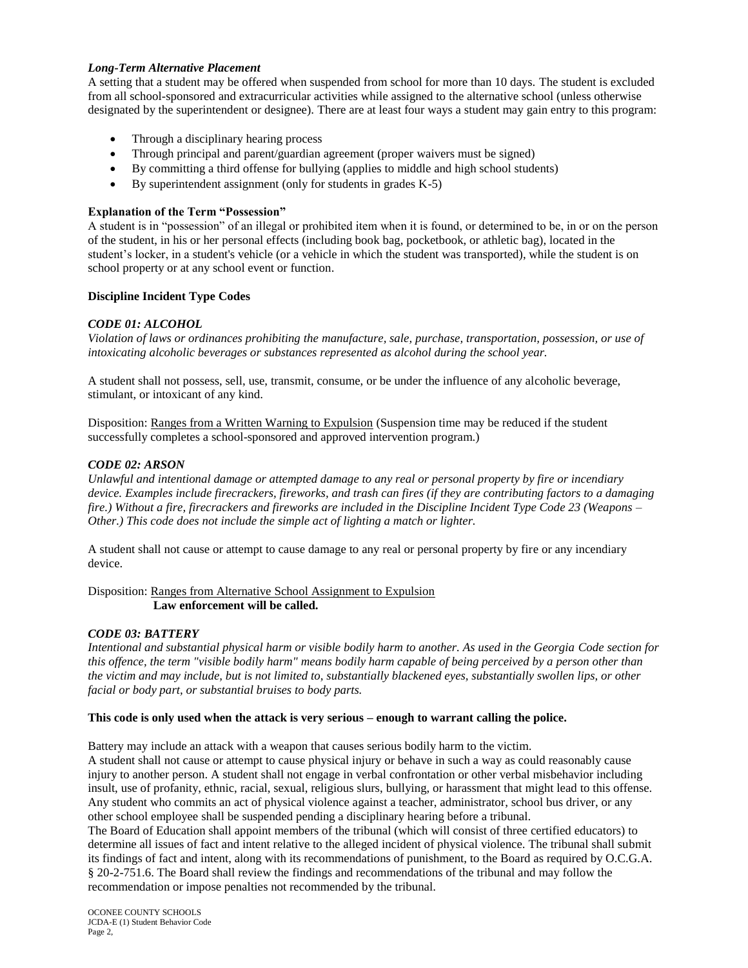# *Long-Term Alternative Placement*

A setting that a student may be offered when suspended from school for more than 10 days. The student is excluded from all school-sponsored and extracurricular activities while assigned to the alternative school (unless otherwise designated by the superintendent or designee). There are at least four ways a student may gain entry to this program:

- Through a disciplinary hearing process
- Through principal and parent/guardian agreement (proper waivers must be signed)
- By committing a third offense for bullying (applies to middle and high school students)
- By superintendent assignment (only for students in grades K-5)

# **Explanation of the Term "Possession"**

A student is in "possession" of an illegal or prohibited item when it is found, or determined to be, in or on the person of the student, in his or her personal effects (including book bag, pocketbook, or athletic bag), located in the student's locker, in a student's vehicle (or a vehicle in which the student was transported), while the student is on school property or at any school event or function.

# **Discipline Incident Type Codes**

# *CODE 01: ALCOHOL*

*Violation of laws or ordinances prohibiting the manufacture, sale, purchase, transportation, possession, or use of intoxicating alcoholic beverages or substances represented as alcohol during the school year.*

A student shall not possess, sell, use, transmit, consume, or be under the influence of any alcoholic beverage, stimulant, or intoxicant of any kind.

Disposition: Ranges from a Written Warning to Expulsion (Suspension time may be reduced if the student successfully completes a school-sponsored and approved intervention program.)

# *CODE 02: ARSON*

*Unlawful and intentional damage or attempted damage to any real or personal property by fire or incendiary device. Examples include firecrackers, fireworks, and trash can fires (if they are contributing factors to a damaging fire.) Without a fire, firecrackers and fireworks are included in the Discipline Incident Type Code 23 (Weapons – Other.) This code does not include the simple act of lighting a match or lighter.*

A student shall not cause or attempt to cause damage to any real or personal property by fire or any incendiary device.

Disposition: Ranges from Alternative School Assignment to Expulsion **Law enforcement will be called.**

# *CODE 03: BATTERY*

*Intentional and substantial physical harm or visible bodily harm to another. As used in the Georgia Code section for this offence, the term "visible bodily harm" means bodily harm capable of being perceived by a person other than the victim and may include, but is not limited to, substantially blackened eyes, substantially swollen lips, or other facial or body part, or substantial bruises to body parts.*

# **This code is only used when the attack is very serious – enough to warrant calling the police.**

Battery may include an attack with a weapon that causes serious bodily harm to the victim.

A student shall not cause or attempt to cause physical injury or behave in such a way as could reasonably cause injury to another person. A student shall not engage in verbal confrontation or other verbal misbehavior including insult, use of profanity, ethnic, racial, sexual, religious slurs, bullying, or harassment that might lead to this offense. Any student who commits an act of physical violence against a teacher, administrator, school bus driver, or any other school employee shall be suspended pending a disciplinary hearing before a tribunal.

The Board of Education shall appoint members of the tribunal (which will consist of three certified educators) to determine all issues of fact and intent relative to the alleged incident of physical violence. The tribunal shall submit its findings of fact and intent, along with its recommendations of punishment, to the Board as required by O.C.G.A. § 20-2-751.6. The Board shall review the findings and recommendations of the tribunal and may follow the recommendation or impose penalties not recommended by the tribunal.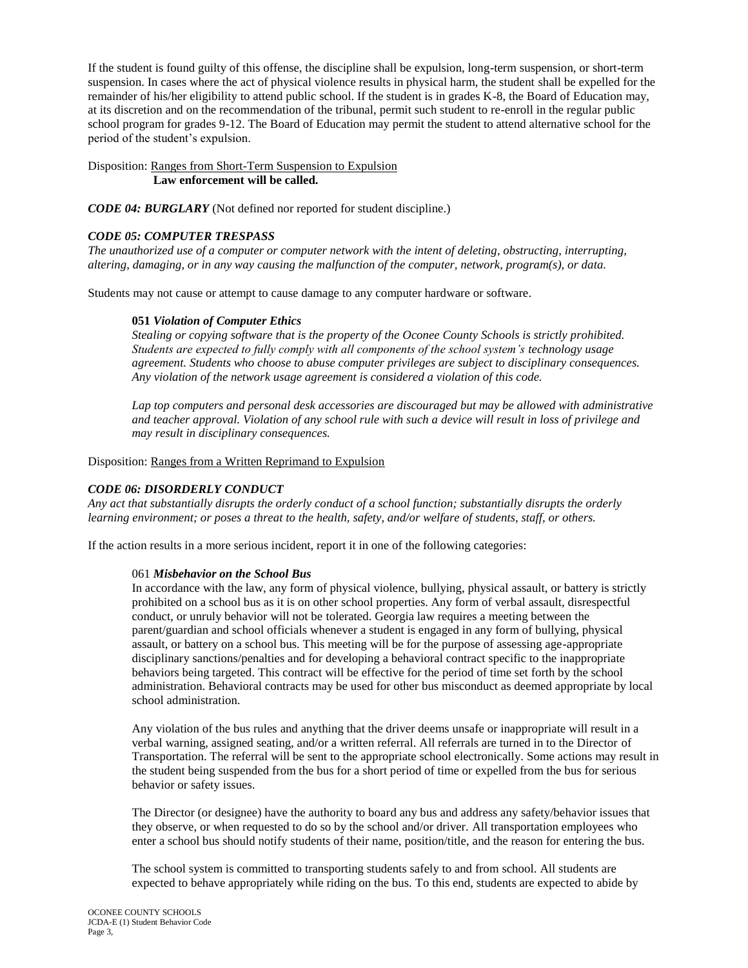If the student is found guilty of this offense, the discipline shall be expulsion, long-term suspension, or short-term suspension. In cases where the act of physical violence results in physical harm, the student shall be expelled for the remainder of his/her eligibility to attend public school. If the student is in grades K-8, the Board of Education may, at its discretion and on the recommendation of the tribunal, permit such student to re-enroll in the regular public school program for grades 9-12. The Board of Education may permit the student to attend alternative school for the period of the student's expulsion.

Disposition: Ranges from Short-Term Suspension to Expulsion **Law enforcement will be called.**

*CODE 04: BURGLARY* (Not defined nor reported for student discipline.)

# *CODE 05: COMPUTER TRESPASS*

*The unauthorized use of a computer or computer network with the intent of deleting, obstructing, interrupting, altering, damaging, or in any way causing the malfunction of the computer, network, program(s), or data.*

Students may not cause or attempt to cause damage to any computer hardware or software.

#### **051** *Violation of Computer Ethics*

*Stealing or copying software that is the property of the Oconee County Schools is strictly prohibited. Students are expected to fully comply with all components of the school system's technology usage agreement. Students who choose to abuse computer privileges are subject to disciplinary consequences. Any violation of the network usage agreement is considered a violation of this code.*

*Lap top computers and personal desk accessories are discouraged but may be allowed with administrative and teacher approval. Violation of any school rule with such a device will result in loss of privilege and may result in disciplinary consequences.*

Disposition: Ranges from a Written Reprimand to Expulsion

# *CODE 06: DISORDERLY CONDUCT*

*Any act that substantially disrupts the orderly conduct of a school function; substantially disrupts the orderly learning environment; or poses a threat to the health, safety, and/or welfare of students, staff, or others.*

If the action results in a more serious incident, report it in one of the following categories:

#### 061 *Misbehavior on the School Bus*

In accordance with the law, any form of physical violence, bullying, physical assault, or battery is strictly prohibited on a school bus as it is on other school properties. Any form of verbal assault, disrespectful conduct, or unruly behavior will not be tolerated. Georgia law requires a meeting between the parent/guardian and school officials whenever a student is engaged in any form of bullying, physical assault, or battery on a school bus. This meeting will be for the purpose of assessing age-appropriate disciplinary sanctions/penalties and for developing a behavioral contract specific to the inappropriate behaviors being targeted. This contract will be effective for the period of time set forth by the school administration. Behavioral contracts may be used for other bus misconduct as deemed appropriate by local school administration.

Any violation of the bus rules and anything that the driver deems unsafe or inappropriate will result in a verbal warning, assigned seating, and/or a written referral. All referrals are turned in to the Director of Transportation. The referral will be sent to the appropriate school electronically. Some actions may result in the student being suspended from the bus for a short period of time or expelled from the bus for serious behavior or safety issues.

The Director (or designee) have the authority to board any bus and address any safety/behavior issues that they observe, or when requested to do so by the school and/or driver. All transportation employees who enter a school bus should notify students of their name, position/title, and the reason for entering the bus.

The school system is committed to transporting students safely to and from school. All students are expected to behave appropriately while riding on the bus. To this end, students are expected to abide by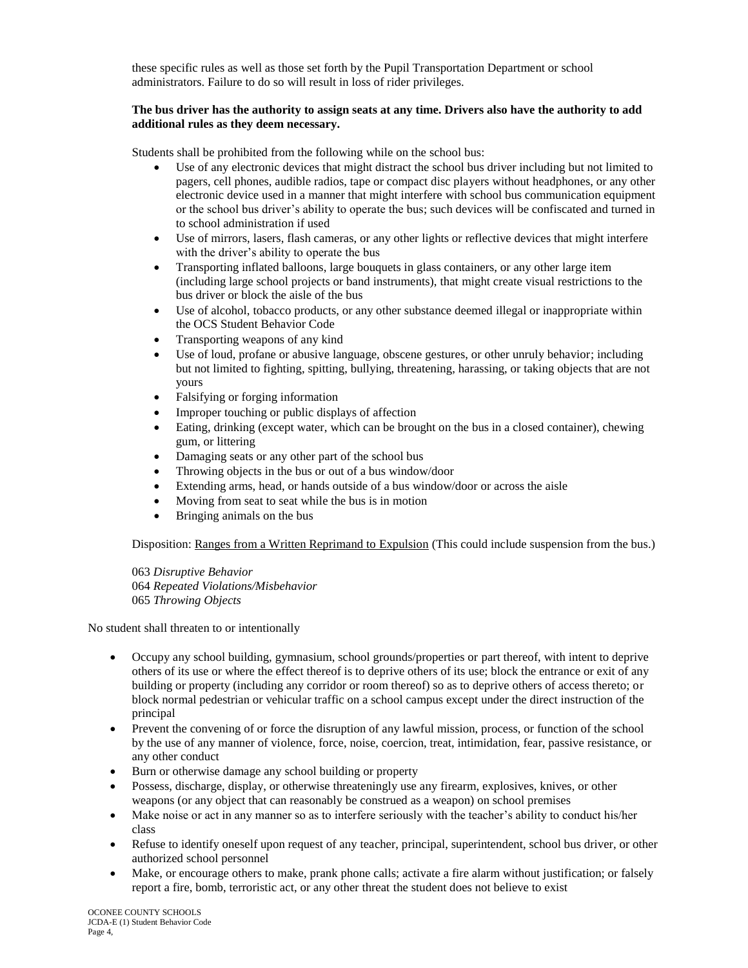these specific rules as well as those set forth by the Pupil Transportation Department or school administrators. Failure to do so will result in loss of rider privileges.

# **The bus driver has the authority to assign seats at any time. Drivers also have the authority to add additional rules as they deem necessary.**

Students shall be prohibited from the following while on the school bus:

- Use of any electronic devices that might distract the school bus driver including but not limited to pagers, cell phones, audible radios, tape or compact disc players without headphones, or any other electronic device used in a manner that might interfere with school bus communication equipment or the school bus driver's ability to operate the bus; such devices will be confiscated and turned in to school administration if used
- Use of mirrors, lasers, flash cameras, or any other lights or reflective devices that might interfere with the driver's ability to operate the bus
- Transporting inflated balloons, large bouquets in glass containers, or any other large item (including large school projects or band instruments), that might create visual restrictions to the bus driver or block the aisle of the bus
- Use of alcohol, tobacco products, or any other substance deemed illegal or inappropriate within the OCS Student Behavior Code
- Transporting weapons of any kind
- Use of loud, profane or abusive language, obscene gestures, or other unruly behavior; including but not limited to fighting, spitting, bullying, threatening, harassing, or taking objects that are not yours
- Falsifying or forging information
- Improper touching or public displays of affection
- Eating, drinking (except water, which can be brought on the bus in a closed container), chewing gum, or littering
- Damaging seats or any other part of the school bus
- Throwing objects in the bus or out of a bus window/door
- Extending arms, head, or hands outside of a bus window/door or across the aisle
- Moving from seat to seat while the bus is in motion
- Bringing animals on the bus

Disposition: Ranges from a Written Reprimand to Expulsion (This could include suspension from the bus.)

063 *Disruptive Behavior* 064 *Repeated Violations/Misbehavior* 065 *Throwing Objects*

No student shall threaten to or intentionally

- Occupy any school building, gymnasium, school grounds/properties or part thereof, with intent to deprive others of its use or where the effect thereof is to deprive others of its use; block the entrance or exit of any building or property (including any corridor or room thereof) so as to deprive others of access thereto; or block normal pedestrian or vehicular traffic on a school campus except under the direct instruction of the principal
- Prevent the convening of or force the disruption of any lawful mission, process, or function of the school by the use of any manner of violence, force, noise, coercion, treat, intimidation, fear, passive resistance, or any other conduct
- Burn or otherwise damage any school building or property
- Possess, discharge, display, or otherwise threateningly use any firearm, explosives, knives, or other weapons (or any object that can reasonably be construed as a weapon) on school premises
- Make noise or act in any manner so as to interfere seriously with the teacher's ability to conduct his/her class
- Refuse to identify oneself upon request of any teacher, principal, superintendent, school bus driver, or other authorized school personnel
- Make, or encourage others to make, prank phone calls; activate a fire alarm without justification; or falsely report a fire, bomb, terroristic act, or any other threat the student does not believe to exist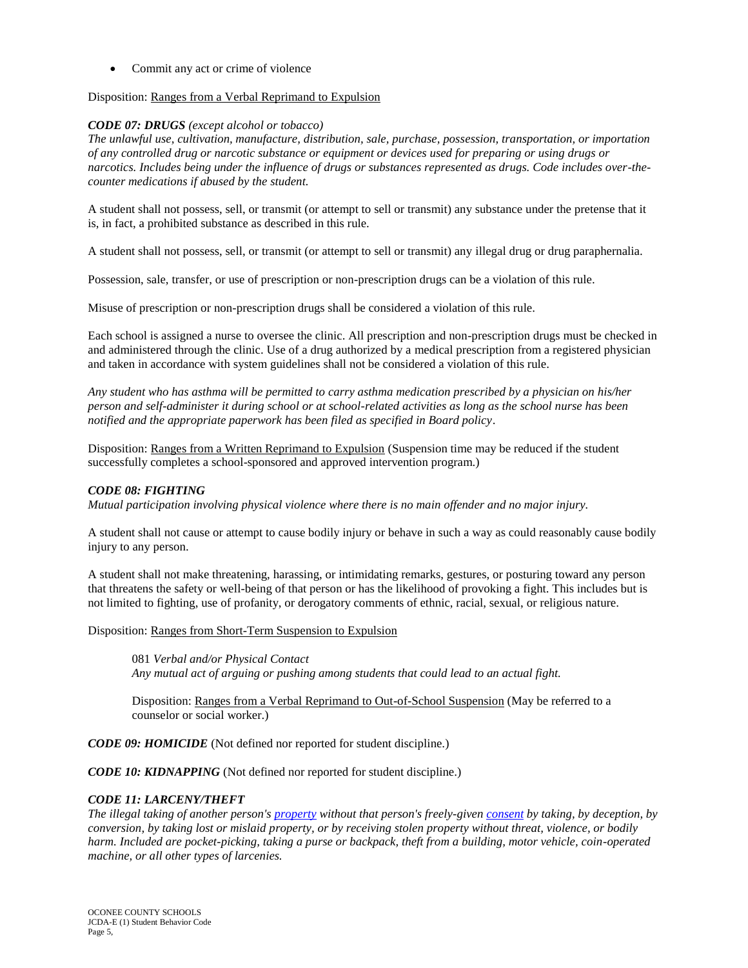• Commit any act or crime of violence

#### Disposition: Ranges from a Verbal Reprimand to Expulsion

#### *CODE 07: DRUGS (except alcohol or tobacco)*

*The unlawful use, cultivation, manufacture, distribution, sale, purchase, possession, transportation, or importation of any controlled drug or narcotic substance or equipment or devices used for preparing or using drugs or narcotics. Includes being under the influence of drugs or substances represented as drugs. Code includes over-thecounter medications if abused by the student.*

A student shall not possess, sell, or transmit (or attempt to sell or transmit) any substance under the pretense that it is, in fact, a prohibited substance as described in this rule.

A student shall not possess, sell, or transmit (or attempt to sell or transmit) any illegal drug or drug paraphernalia.

Possession, sale, transfer, or use of prescription or non-prescription drugs can be a violation of this rule.

Misuse of prescription or non-prescription drugs shall be considered a violation of this rule.

Each school is assigned a nurse to oversee the clinic. All prescription and non-prescription drugs must be checked in and administered through the clinic. Use of a drug authorized by a medical prescription from a registered physician and taken in accordance with system guidelines shall not be considered a violation of this rule.

*Any student who has asthma will be permitted to carry asthma medication prescribed by a physician on his/her person and self-administer it during school or at school-related activities as long as the school nurse has been notified and the appropriate paperwork has been filed as specified in Board policy*.

Disposition: Ranges from a Written Reprimand to Expulsion (Suspension time may be reduced if the student successfully completes a school-sponsored and approved intervention program.)

# *CODE 08: FIGHTING*

*Mutual participation involving physical violence where there is no main offender and no major injury.*

A student shall not cause or attempt to cause bodily injury or behave in such a way as could reasonably cause bodily injury to any person.

A student shall not make threatening, harassing, or intimidating remarks, gestures, or posturing toward any person that threatens the safety or well-being of that person or has the likelihood of provoking a fight. This includes but is not limited to fighting, use of profanity, or derogatory comments of ethnic, racial, sexual, or religious nature.

Disposition: Ranges from Short-Term Suspension to Expulsion

081 *Verbal and/or Physical Contact*

*Any mutual act of arguing or pushing among students that could lead to an actual fight.*

Disposition: Ranges from a Verbal Reprimand to Out-of-School Suspension (May be referred to a counselor or social worker.)

*CODE 09: HOMICIDE* (Not defined nor reported for student discipline.)

*CODE 10: KIDNAPPING* (Not defined nor reported for student discipline.)

# *CODE 11: LARCENY/THEFT*

*The illegal taking of another person'[s property](http://en.wikipedia.org/wiki/Property) without that person's freely-given [consent](http://en.wikipedia.org/wiki/Consent) by taking, by deception, by conversion, by taking lost or mislaid property, or by receiving stolen property without threat, violence, or bodily harm. Included are pocket-picking, taking a purse or backpack, theft from a building, motor vehicle, coin-operated machine, or all other types of larcenies.*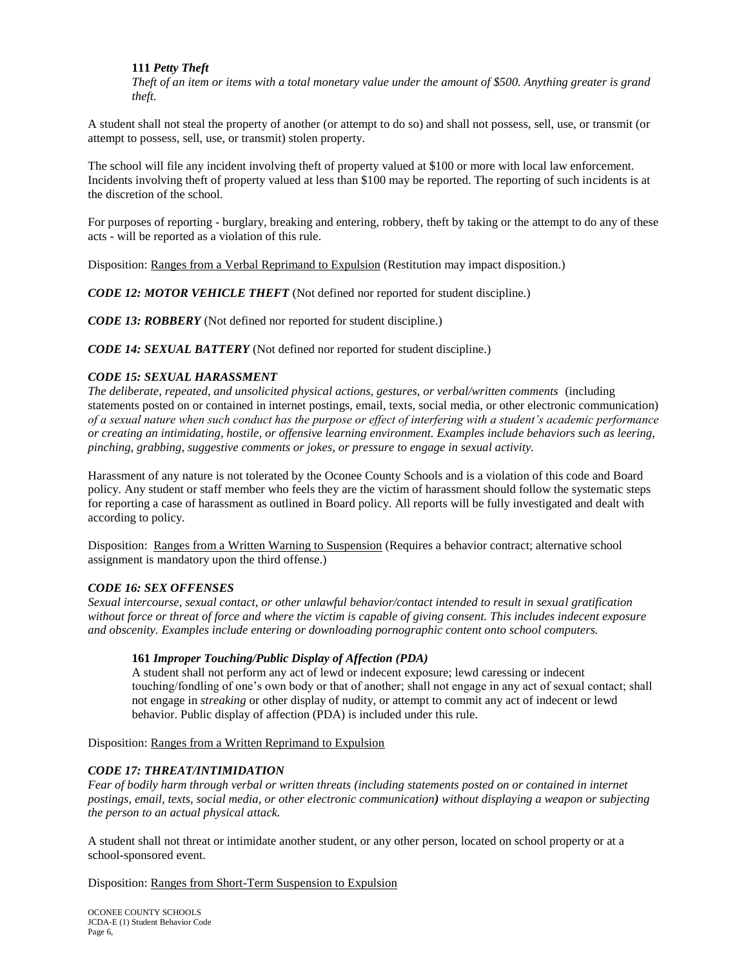# **111** *Petty Theft*

*Theft of an item or items with a total monetary value under the amount of \$500. Anything greater is grand theft.*

A student shall not steal the property of another (or attempt to do so) and shall not possess, sell, use, or transmit (or attempt to possess, sell, use, or transmit) stolen property.

The school will file any incident involving theft of property valued at \$100 or more with local law enforcement. Incidents involving theft of property valued at less than \$100 may be reported. The reporting of such incidents is at the discretion of the school.

For purposes of reporting - burglary, breaking and entering, robbery, theft by taking or the attempt to do any of these acts - will be reported as a violation of this rule.

Disposition: Ranges from a Verbal Reprimand to Expulsion (Restitution may impact disposition.)

*CODE 12: MOTOR VEHICLE THEFT* (Not defined nor reported for student discipline.)

*CODE 13: ROBBERY* (Not defined nor reported for student discipline.)

*CODE 14: SEXUAL BATTERY* (Not defined nor reported for student discipline.)

### *CODE 15: SEXUAL HARASSMENT*

*The deliberate, repeated, and unsolicited physical actions, gestures, or verbal/written comments* (including statements posted on or contained in internet postings, email, texts, social media, or other electronic communication) *of a sexual nature when such conduct has the purpose or effect of interfering with a student's academic performance or creating an intimidating, hostile, or offensive learning environment. Examples include behaviors such as leering, pinching, grabbing, suggestive comments or jokes, or pressure to engage in sexual activity.*

Harassment of any nature is not tolerated by the Oconee County Schools and is a violation of this code and Board policy. Any student or staff member who feels they are the victim of harassment should follow the systematic steps for reporting a case of harassment as outlined in Board policy. All reports will be fully investigated and dealt with according to policy.

Disposition: Ranges from a Written Warning to Suspension (Requires a behavior contract; alternative school assignment is mandatory upon the third offense.)

# *CODE 16: SEX OFFENSES*

*Sexual intercourse, sexual contact, or other unlawful behavior/contact intended to result in sexual gratification without force or threat of force and where the victim is capable of giving consent. This includes indecent exposure and obscenity. Examples include entering or downloading pornographic content onto school computers.*

#### **161** *Improper Touching/Public Display of Affection (PDA)*

A student shall not perform any act of lewd or indecent exposure; lewd caressing or indecent touching/fondling of one's own body or that of another; shall not engage in any act of sexual contact; shall not engage in *streaking* or other display of nudity, or attempt to commit any act of indecent or lewd behavior. Public display of affection (PDA) is included under this rule.

Disposition: Ranges from a Written Reprimand to Expulsion

# *CODE 17: THREAT/INTIMIDATION*

*Fear of bodily harm through verbal or written threats (including statements posted on or contained in internet postings, email, texts, social media, or other electronic communication) without displaying a weapon or subjecting the person to an actual physical attack.*

A student shall not threat or intimidate another student, or any other person, located on school property or at a school-sponsored event.

Disposition: Ranges from Short-Term Suspension to Expulsion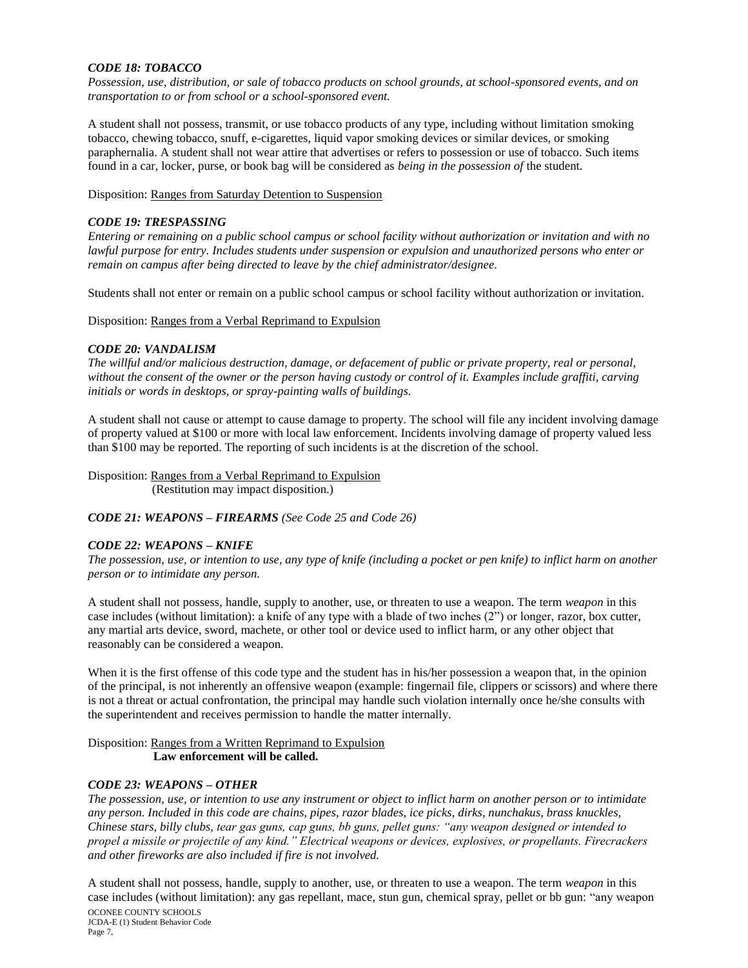# *CODE 18: TOBACCO*

*Possession, use, distribution, or sale of tobacco products on school grounds, at school-sponsored events, and on transportation to or from school or a school-sponsored event.*

A student shall not possess, transmit, or use tobacco products of any type, including without limitation smoking tobacco, chewing tobacco, snuff, e-cigarettes, liquid vapor smoking devices or similar devices, or smoking paraphernalia. A student shall not wear attire that advertises or refers to possession or use of tobacco. Such items found in a car, locker, purse, or book bag will be considered as *being in the possession of* the student.

Disposition: Ranges from Saturday Detention to Suspension

## *CODE 19: TRESPASSING*

*Entering or remaining on a public school campus or school facility without authorization or invitation and with no lawful purpose for entry. Includes students under suspension or expulsion and unauthorized persons who enter or remain on campus after being directed to leave by the chief administrator/designee.*

Students shall not enter or remain on a public school campus or school facility without authorization or invitation.

Disposition: Ranges from a Verbal Reprimand to Expulsion

### *CODE 20: VANDALISM*

*The willful and/or malicious destruction, damage, or defacement of public or private property, real or personal, without the consent of the owner or the person having custody or control of it. Examples include graffiti, carving initials or words in desktops, or spray-painting walls of buildings.*

A student shall not cause or attempt to cause damage to property. The school will file any incident involving damage of property valued at \$100 or more with local law enforcement. Incidents involving damage of property valued less than \$100 may be reported. The reporting of such incidents is at the discretion of the school.

Disposition: Ranges from a Verbal Reprimand to Expulsion (Restitution may impact disposition.)

*CODE 21: WEAPONS – FIREARMS (See Code 25 and Code 26)*

#### *CODE 22: WEAPONS – KNIFE*

*The possession, use, or intention to use, any type of knife (including a pocket or pen knife) to inflict harm on another person or to intimidate any person.*

A student shall not possess, handle, supply to another, use, or threaten to use a weapon. The term *weapon* in this case includes (without limitation): a knife of any type with a blade of two inches (2") or longer, razor, box cutter, any martial arts device, sword, machete, or other tool or device used to inflict harm, or any other object that reasonably can be considered a weapon.

When it is the first offense of this code type and the student has in his/her possession a weapon that, in the opinion of the principal, is not inherently an offensive weapon (example: fingernail file, clippers or scissors) and where there is not a threat or actual confrontation, the principal may handle such violation internally once he/she consults with the superintendent and receives permission to handle the matter internally.

### Disposition: Ranges from a Written Reprimand to Expulsion  **Law enforcement will be called.**

# *CODE 23: WEAPONS – OTHER*

*The possession, use, or intention to use any instrument or object to inflict harm on another person or to intimidate any person. Included in this code are chains, pipes, razor blades, ice picks, dirks, nunchakus, brass knuckles, Chinese stars, billy clubs, tear gas guns, cap guns, bb guns, pellet guns: "any weapon designed or intended to propel a missile or projectile of any kind." Electrical weapons or devices, explosives, or propellants. Firecrackers and other fireworks are also included if fire is not involved.*

A student shall not possess, handle, supply to another, use, or threaten to use a weapon. The term *weapon* in this case includes (without limitation): any gas repellant, mace, stun gun, chemical spray, pellet or bb gun: "any weapon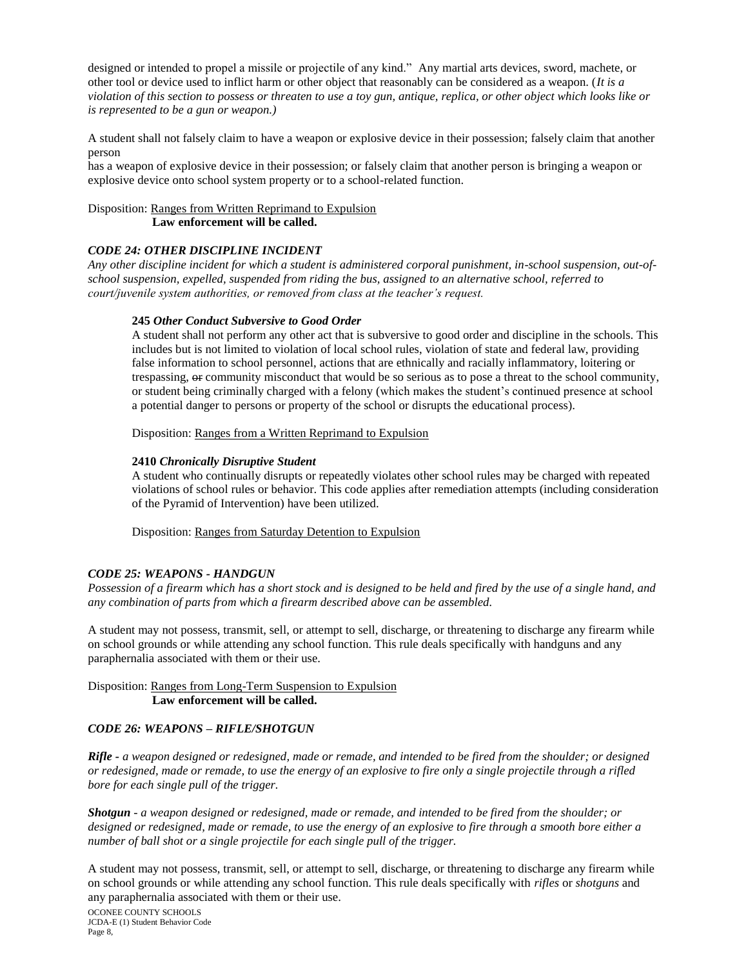designed or intended to propel a missile or projectile of any kind." Any martial arts devices, sword, machete, or other tool or device used to inflict harm or other object that reasonably can be considered as a weapon. (*It is a violation of this section to possess or threaten to use a toy gun, antique, replica, or other object which looks like or is represented to be a gun or weapon.)*

A student shall not falsely claim to have a weapon or explosive device in their possession; falsely claim that another person

has a weapon of explosive device in their possession; or falsely claim that another person is bringing a weapon or explosive device onto school system property or to a school-related function.

Disposition: Ranges from Written Reprimand to Expulsion  **Law enforcement will be called.**

## *CODE 24: OTHER DISCIPLINE INCIDENT*

*Any other discipline incident for which a student is administered corporal punishment, in-school suspension, out-ofschool suspension, expelled, suspended from riding the bus, assigned to an alternative school, referred to court/juvenile system authorities, or removed from class at the teacher's request.*

#### **245** *Other Conduct Subversive to Good Order*

A student shall not perform any other act that is subversive to good order and discipline in the schools. This includes but is not limited to violation of local school rules, violation of state and federal law, providing false information to school personnel, actions that are ethnically and racially inflammatory, loitering or trespassing,  $\Theta$  community misconduct that would be so serious as to pose a threat to the school community, or student being criminally charged with a felony (which makes the student's continued presence at school a potential danger to persons or property of the school or disrupts the educational process).

Disposition: Ranges from a Written Reprimand to Expulsion

#### **2410** *Chronically Disruptive Student*

A student who continually disrupts or repeatedly violates other school rules may be charged with repeated violations of school rules or behavior. This code applies after remediation attempts (including consideration of the Pyramid of Intervention) have been utilized.

Disposition: Ranges from Saturday Detention to Expulsion

#### *CODE 25: WEAPONS - HANDGUN*

*Possession of a firearm which has a short stock and is designed to be held and fired by the use of a single hand, and any combination of parts from which a firearm described above can be assembled.*

A student may not possess, transmit, sell, or attempt to sell, discharge, or threatening to discharge any firearm while on school grounds or while attending any school function. This rule deals specifically with handguns and any paraphernalia associated with them or their use.

#### Disposition: Ranges from Long-Term Suspension to Expulsion **Law enforcement will be called.**

#### *CODE 26: WEAPONS – RIFLE/SHOTGUN*

*Rifle - a weapon designed or redesigned, made or remade, and intended to be fired from the shoulder; or designed or redesigned, made or remade, to use the energy of an explosive to fire only a single projectile through a rifled bore for each single pull of the trigger.* 

*Shotgun - a weapon designed or redesigned, made or remade, and intended to be fired from the shoulder; or designed or redesigned, made or remade, to use the energy of an explosive to fire through a smooth bore either a number of ball shot or a single projectile for each single pull of the trigger.*

A student may not possess, transmit, sell, or attempt to sell, discharge, or threatening to discharge any firearm while on school grounds or while attending any school function. This rule deals specifically with *rifles* or *shotguns* and any paraphernalia associated with them or their use.

OCONEE COUNTY SCHOOLS JCDA-E (1) Student Behavior Code Page 8,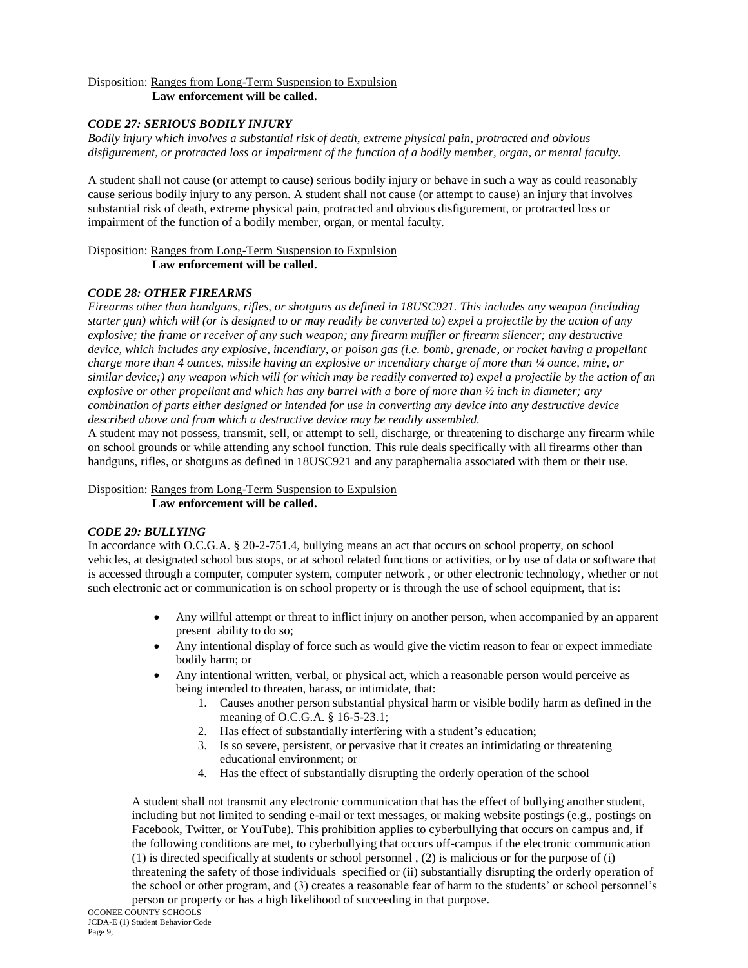# Disposition: Ranges from Long-Term Suspension to Expulsion

**Law enforcement will be called.**

# *CODE 27: SERIOUS BODILY INJURY*

*Bodily injury which involves a substantial risk of death, extreme physical pain, protracted and obvious disfigurement, or protracted loss or impairment of the function of a bodily member, organ, or mental faculty.*

A student shall not cause (or attempt to cause) serious bodily injury or behave in such a way as could reasonably cause serious bodily injury to any person. A student shall not cause (or attempt to cause) an injury that involves substantial risk of death, extreme physical pain, protracted and obvious disfigurement, or protracted loss or impairment of the function of a bodily member, organ, or mental faculty.

Disposition: Ranges from Long-Term Suspension to Expulsion **Law enforcement will be called.**

# *CODE 28: OTHER FIREARMS*

*Firearms other than handguns, rifles, or shotguns as defined in 18USC921. This includes any weapon (including starter gun) which will (or is designed to or may readily be converted to) expel a projectile by the action of any explosive; the frame or receiver of any such weapon; any firearm muffler or firearm silencer; any destructive device, which includes any explosive, incendiary, or poison gas (i.e. bomb, grenade, or rocket having a propellant charge more than 4 ounces, missile having an explosive or incendiary charge of more than ¼ ounce, mine, or similar device;) any weapon which will (or which may be readily converted to) expel a projectile by the action of an explosive or other propellant and which has any barrel with a bore of more than ½ inch in diameter; any combination of parts either designed or intended for use in converting any device into any destructive device described above and from which a destructive device may be readily assembled.*

A student may not possess, transmit, sell, or attempt to sell, discharge, or threatening to discharge any firearm while on school grounds or while attending any school function. This rule deals specifically with all firearms other than handguns, rifles, or shotguns as defined in 18USC921 and any paraphernalia associated with them or their use.

Disposition: Ranges from Long-Term Suspension to Expulsion **Law enforcement will be called.**

# *CODE 29: BULLYING*

In accordance with O.C.G.A. § 20-2-751.4, bullying means an act that occurs on school property, on school vehicles, at designated school bus stops, or at school related functions or activities, or by use of data or software that is accessed through a computer, computer system, computer network , or other electronic technology, whether or not such electronic act or communication is on school property or is through the use of school equipment, that is:

- Any willful attempt or threat to inflict injury on another person, when accompanied by an apparent present ability to do so;
- Any intentional display of force such as would give the victim reason to fear or expect immediate bodily harm; or
- Any intentional written, verbal, or physical act, which a reasonable person would perceive as being intended to threaten, harass, or intimidate, that:
	- 1. Causes another person substantial physical harm or visible bodily harm as defined in the meaning of O.C.G.A. § 16-5-23.1;
	- 2. Has effect of substantially interfering with a student's education;
	- 3. Is so severe, persistent, or pervasive that it creates an intimidating or threatening educational environment; or
	- 4. Has the effect of substantially disrupting the orderly operation of the school

A student shall not transmit any electronic communication that has the effect of bullying another student, including but not limited to sending e-mail or text messages, or making website postings (e.g., postings on Facebook, Twitter, or YouTube). This prohibition applies to cyberbullying that occurs on campus and, if the following conditions are met, to cyberbullying that occurs off-campus if the electronic communication (1) is directed specifically at students or school personnel , (2) is malicious or for the purpose of (i) threatening the safety of those individuals specified or (ii) substantially disrupting the orderly operation of the school or other program, and (3) creates a reasonable fear of harm to the students' or school personnel's person or property or has a high likelihood of succeeding in that purpose.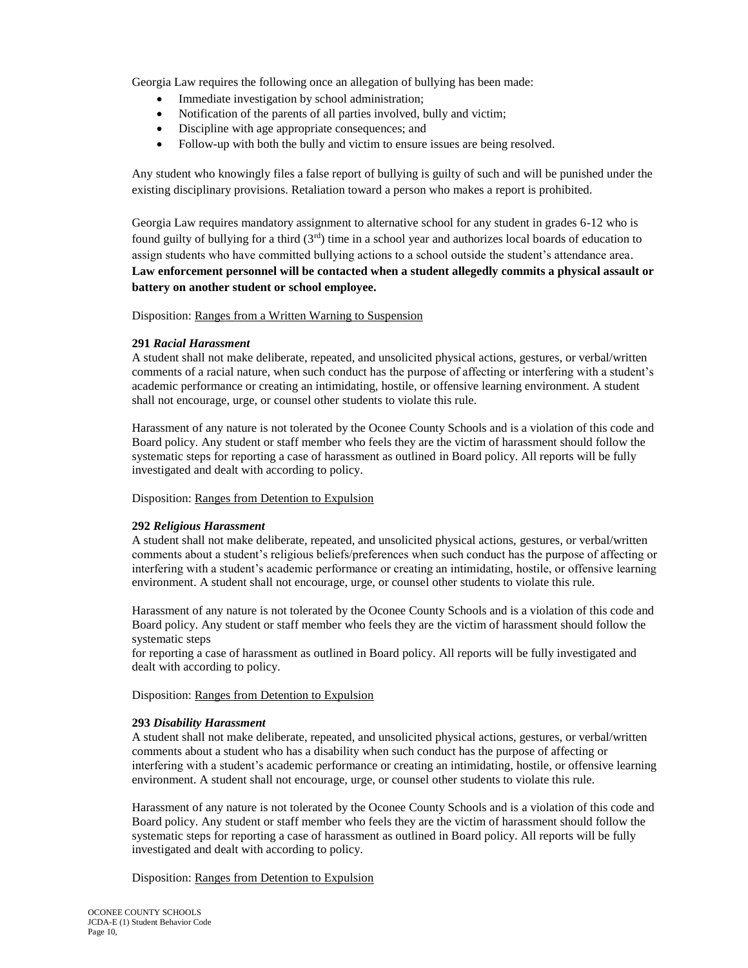Georgia Law requires the following once an allegation of bullying has been made:

- Immediate investigation by school administration;
- Notification of the parents of all parties involved, bully and victim;
- Discipline with age appropriate consequences; and
- Follow-up with both the bully and victim to ensure issues are being resolved.

Any student who knowingly files a false report of bullying is guilty of such and will be punished under the existing disciplinary provisions. Retaliation toward a person who makes a report is prohibited.

Georgia Law requires mandatory assignment to alternative school for any student in grades 6-12 who is found guilty of bullying for a third  $(3<sup>rd</sup>)$  time in a school year and authorizes local boards of education to assign students who have committed bullying actions to a school outside the student's attendance area. **Law enforcement personnel will be contacted when a student allegedly commits a physical assault or battery on another student or school employee.**

Disposition: Ranges from a Written Warning to Suspension

# **291** *Racial Harassment*

A student shall not make deliberate, repeated, and unsolicited physical actions, gestures, or verbal/written comments of a racial nature, when such conduct has the purpose of affecting or interfering with a student's academic performance or creating an intimidating, hostile, or offensive learning environment. A student shall not encourage, urge, or counsel other students to violate this rule.

Harassment of any nature is not tolerated by the Oconee County Schools and is a violation of this code and Board policy. Any student or staff member who feels they are the victim of harassment should follow the systematic steps for reporting a case of harassment as outlined in Board policy. All reports will be fully investigated and dealt with according to policy.

Disposition: Ranges from Detention to Expulsion

# **292** *Religious Harassment*

A student shall not make deliberate, repeated, and unsolicited physical actions, gestures, or verbal/written comments about a student's religious beliefs/preferences when such conduct has the purpose of affecting or interfering with a student's academic performance or creating an intimidating, hostile, or offensive learning environment. A student shall not encourage, urge, or counsel other students to violate this rule.

Harassment of any nature is not tolerated by the Oconee County Schools and is a violation of this code and Board policy. Any student or staff member who feels they are the victim of harassment should follow the systematic steps

for reporting a case of harassment as outlined in Board policy. All reports will be fully investigated and dealt with according to policy.

#### Disposition: Ranges from Detention to Expulsion

#### **293** *Disability Harassment*

A student shall not make deliberate, repeated, and unsolicited physical actions, gestures, or verbal/written comments about a student who has a disability when such conduct has the purpose of affecting or interfering with a student's academic performance or creating an intimidating, hostile, or offensive learning environment. A student shall not encourage, urge, or counsel other students to violate this rule.

Harassment of any nature is not tolerated by the Oconee County Schools and is a violation of this code and Board policy. Any student or staff member who feels they are the victim of harassment should follow the systematic steps for reporting a case of harassment as outlined in Board policy. All reports will be fully investigated and dealt with according to policy.

Disposition: Ranges from Detention to Expulsion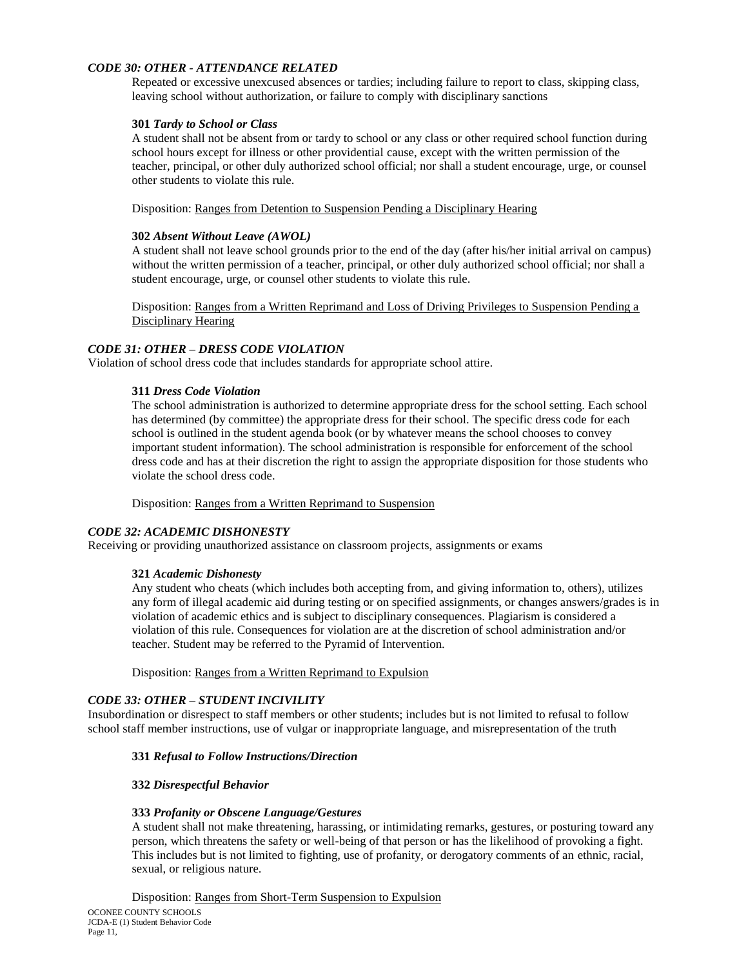# *CODE 30: OTHER - ATTENDANCE RELATED*

Repeated or excessive unexcused absences or tardies; including failure to report to class, skipping class, leaving school without authorization, or failure to comply with disciplinary sanctions

### **301** *Tardy to School or Class*

A student shall not be absent from or tardy to school or any class or other required school function during school hours except for illness or other providential cause, except with the written permission of the teacher, principal, or other duly authorized school official; nor shall a student encourage, urge, or counsel other students to violate this rule.

Disposition: Ranges from Detention to Suspension Pending a Disciplinary Hearing

#### **302** *Absent Without Leave (AWOL)*

A student shall not leave school grounds prior to the end of the day (after his/her initial arrival on campus) without the written permission of a teacher, principal, or other duly authorized school official; nor shall a student encourage, urge, or counsel other students to violate this rule.

Disposition: Ranges from a Written Reprimand and Loss of Driving Privileges to Suspension Pending a Disciplinary Hearing

# *CODE 31: OTHER – DRESS CODE VIOLATION*

Violation of school dress code that includes standards for appropriate school attire.

## **311** *Dress Code Violation*

The school administration is authorized to determine appropriate dress for the school setting. Each school has determined (by committee) the appropriate dress for their school. The specific dress code for each school is outlined in the student agenda book (or by whatever means the school chooses to convey important student information). The school administration is responsible for enforcement of the school dress code and has at their discretion the right to assign the appropriate disposition for those students who violate the school dress code.

Disposition: Ranges from a Written Reprimand to Suspension

# *CODE 32: ACADEMIC DISHONESTY*

Receiving or providing unauthorized assistance on classroom projects, assignments or exams

#### **321** *Academic Dishonesty*

Any student who cheats (which includes both accepting from, and giving information to, others), utilizes any form of illegal academic aid during testing or on specified assignments, or changes answers/grades is in violation of academic ethics and is subject to disciplinary consequences. Plagiarism is considered a violation of this rule. Consequences for violation are at the discretion of school administration and/or teacher. Student may be referred to the Pyramid of Intervention.

Disposition: Ranges from a Written Reprimand to Expulsion

# *CODE 33: OTHER – STUDENT INCIVILITY*

Insubordination or disrespect to staff members or other students; includes but is not limited to refusal to follow school staff member instructions, use of vulgar or inappropriate language, and misrepresentation of the truth

#### **331** *Refusal to Follow Instructions/Direction*

#### **332** *Disrespectful Behavior*

#### **333** *Profanity or Obscene Language/Gestures*

A student shall not make threatening, harassing, or intimidating remarks, gestures, or posturing toward any person, which threatens the safety or well-being of that person or has the likelihood of provoking a fight. This includes but is not limited to fighting, use of profanity, or derogatory comments of an ethnic, racial, sexual, or religious nature.

Disposition: Ranges from Short-Term Suspension to Expulsion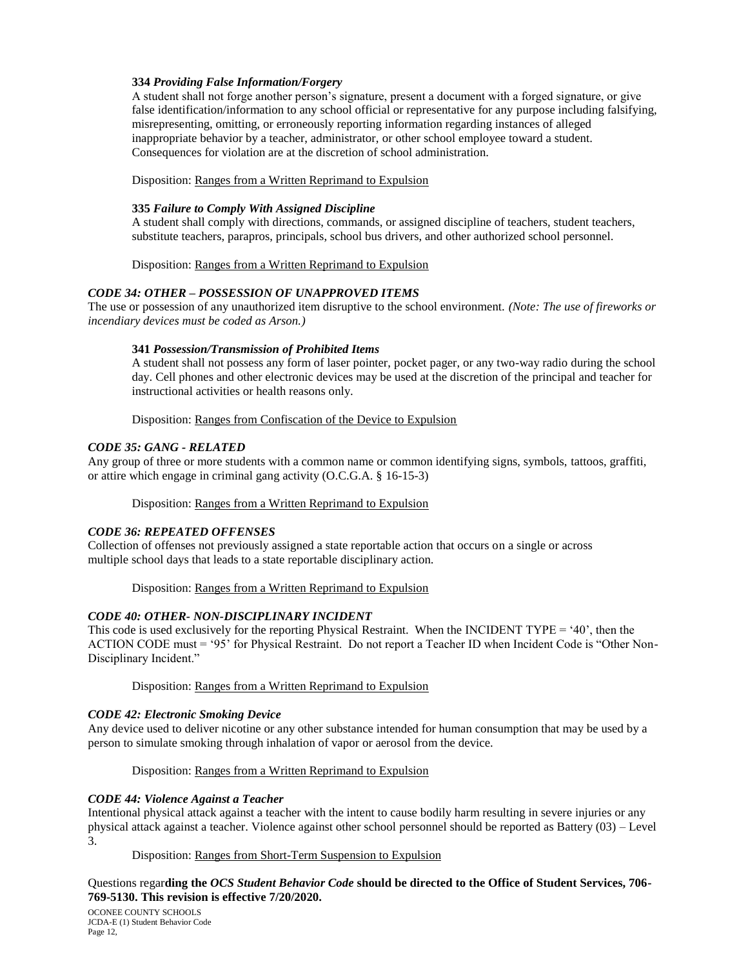# **334** *Providing False Information/Forgery*

A student shall not forge another person's signature, present a document with a forged signature, or give false identification/information to any school official or representative for any purpose including falsifying, misrepresenting, omitting, or erroneously reporting information regarding instances of alleged inappropriate behavior by a teacher, administrator, or other school employee toward a student. Consequences for violation are at the discretion of school administration.

Disposition: Ranges from a Written Reprimand to Expulsion

# **335** *Failure to Comply With Assigned Discipline*

A student shall comply with directions, commands, or assigned discipline of teachers, student teachers, substitute teachers, parapros, principals, school bus drivers, and other authorized school personnel.

Disposition: Ranges from a Written Reprimand to Expulsion

# *CODE 34: OTHER – POSSESSION OF UNAPPROVED ITEMS*

The use or possession of any unauthorized item disruptive to the school environment. *(Note: The use of fireworks or incendiary devices must be coded as Arson.)*

# **341** *Possession/Transmission of Prohibited Items*

A student shall not possess any form of laser pointer, pocket pager, or any two-way radio during the school day. Cell phones and other electronic devices may be used at the discretion of the principal and teacher for instructional activities or health reasons only.

Disposition: Ranges from Confiscation of the Device to Expulsion

### *CODE 35: GANG - RELATED*

Any group of three or more students with a common name or common identifying signs, symbols, tattoos, graffiti, or attire which engage in criminal gang activity (O.C.G.A. § 16-15-3)

Disposition: Ranges from a Written Reprimand to Expulsion

# *CODE 36: REPEATED OFFENSES*

Collection of offenses not previously assigned a state reportable action that occurs on a single or across multiple school days that leads to a state reportable disciplinary action.

# Disposition: Ranges from a Written Reprimand to Expulsion

# *CODE 40: OTHER- NON-DISCIPLINARY INCIDENT*

This code is used exclusively for the reporting Physical Restraint. When the INCIDENT TYPE = '40', then the ACTION CODE must = '95' for Physical Restraint. Do not report a Teacher ID when Incident Code is "Other Non-Disciplinary Incident."

Disposition: Ranges from a Written Reprimand to Expulsion

# *CODE 42: Electronic Smoking Device*

Any device used to deliver nicotine or any other substance intended for human consumption that may be used by a person to simulate smoking through inhalation of vapor or aerosol from the device.

Disposition: Ranges from a Written Reprimand to Expulsion

# *CODE 44: Violence Against a Teacher*

Intentional physical attack against a teacher with the intent to cause bodily harm resulting in severe injuries or any physical attack against a teacher. Violence against other school personnel should be reported as Battery (03) – Level 3.

Disposition: Ranges from Short-Term Suspension to Expulsion

# Questions regar**ding the** *OCS Student Behavior Code* **should be directed to the Office of Student Services, 706- 769-5130. This revision is effective 7/20/2020.**